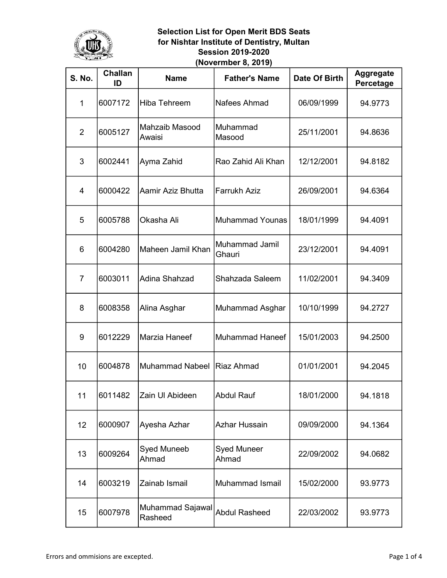

| <b>S. No.</b>  | <b>Challan</b><br>ID | <b>Name</b>                 | <b>Father's Name</b>            | Date Of Birth | <b>Aggregate</b><br>Percetage |
|----------------|----------------------|-----------------------------|---------------------------------|---------------|-------------------------------|
| $\mathbf{1}$   | 6007172              | <b>Hiba Tehreem</b>         | Nafees Ahmad                    | 06/09/1999    | 94.9773                       |
| $\overline{2}$ | 6005127              | Mahzaib Masood<br>Awaisi    | Muhammad<br>Masood              | 25/11/2001    | 94.8636                       |
| 3              | 6002441              | Ayma Zahid                  | Rao Zahid Ali Khan              | 12/12/2001    | 94.8182                       |
| $\overline{4}$ | 6000422              | Aamir Aziz Bhutta           | <b>Farrukh Aziz</b>             | 26/09/2001    | 94.6364                       |
| 5              | 6005788              | Okasha Ali                  | <b>Muhammad Younas</b>          | 18/01/1999    | 94.4091                       |
| 6              | 6004280              | Maheen Jamil Khan           | <b>Muhammad Jamil</b><br>Ghauri | 23/12/2001    | 94.4091                       |
| $\overline{7}$ | 6003011              | Adina Shahzad               | Shahzada Saleem                 | 11/02/2001    | 94.3409                       |
| 8              | 6008358              | Alina Asghar                | Muhammad Asghar                 | 10/10/1999    | 94.2727                       |
| 9              | 6012229              | Marzia Haneef               | <b>Muhammad Haneef</b>          | 15/01/2003    | 94.2500                       |
| 10             | 6004878              | <b>Muhammad Nabeel</b>      | Riaz Ahmad                      | 01/01/2001    | 94.2045                       |
| 11             | 6011482              | Zain Ul Abideen             | <b>Abdul Rauf</b>               | 18/01/2000    | 94.1818                       |
| 12             | 6000907              | Ayesha Azhar                | <b>Azhar Hussain</b>            | 09/09/2000    | 94.1364                       |
| 13             | 6009264              | <b>Syed Muneeb</b><br>Ahmad | <b>Syed Muneer</b><br>Ahmad     | 22/09/2002    | 94.0682                       |
| 14             | 6003219              | Zainab Ismail               | Muhammad Ismail                 | 15/02/2000    | 93.9773                       |
| 15             | 6007978              | Muhammad Sajawal<br>Rasheed | <b>Abdul Rasheed</b>            | 22/03/2002    | 93.9773                       |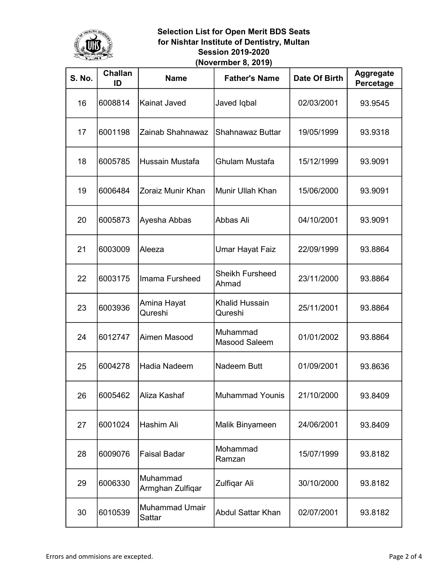

| <b>S. No.</b> | <b>Challan</b><br>ID | <b>Name</b>                     | <b>Father's Name</b>             | Date Of Birth | <b>Aggregate</b><br>Percetage |
|---------------|----------------------|---------------------------------|----------------------------------|---------------|-------------------------------|
| 16            | 6008814              | Kainat Javed                    | Javed Iqbal                      | 02/03/2001    | 93.9545                       |
| 17            | 6001198              | Zainab Shahnawaz                | <b>Shahnawaz Buttar</b>          | 19/05/1999    | 93.9318                       |
| 18            | 6005785              | Hussain Mustafa                 | Ghulam Mustafa                   | 15/12/1999    | 93.9091                       |
| 19            | 6006484              | Zoraiz Munir Khan               | Munir Ullah Khan                 | 15/06/2000    | 93.9091                       |
| 20            | 6005873              | Ayesha Abbas                    | Abbas Ali                        | 04/10/2001    | 93.9091                       |
| 21            | 6003009              | Aleeza                          | Umar Hayat Faiz                  | 22/09/1999    | 93.8864                       |
| 22            | 6003175              | Imama Fursheed                  | <b>Sheikh Fursheed</b><br>Ahmad  | 23/11/2000    | 93.8864                       |
| 23            | 6003936              | Amina Hayat<br>Qureshi          | <b>Khalid Hussain</b><br>Qureshi | 25/11/2001    | 93.8864                       |
| 24            | 6012747              | Aimen Masood                    | Muhammad<br>Masood Saleem        | 01/01/2002    | 93.8864                       |
| 25            | 6004278              | Hadia Nadeem                    | <b>Nadeem Butt</b>               | 01/09/2001    | 93.8636                       |
| 26            | 6005462              | Aliza Kashaf                    | Muhammad Younis                  | 21/10/2000    | 93.8409                       |
| 27            | 6001024              | Hashim Ali                      | Malik Binyameen                  | 24/06/2001    | 93.8409                       |
| 28            | 6009076              | <b>Faisal Badar</b>             | Mohammad<br>Ramzan               | 15/07/1999    | 93.8182                       |
| 29            | 6006330              | Muhammad<br>Armghan Zulfiqar    | Zulfiqar Ali                     | 30/10/2000    | 93.8182                       |
| 30            | 6010539              | <b>Muhammad Umair</b><br>Sattar | <b>Abdul Sattar Khan</b>         | 02/07/2001    | 93.8182                       |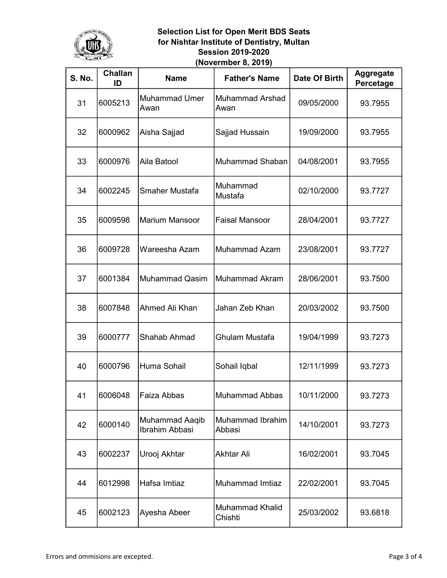

| <b>S. No.</b> | <b>Challan</b><br>ID | <b>Name</b>                      | <b>Father's Name</b>              | Date Of Birth | <b>Aggregate</b><br>Percetage |
|---------------|----------------------|----------------------------------|-----------------------------------|---------------|-------------------------------|
| 31            | 6005213              | <b>Muhammad Umer</b><br>Awan     | Muhammad Arshad<br>Awan           | 09/05/2000    | 93.7955                       |
| 32            | 6000962              | Aisha Sajjad                     | Sajjad Hussain                    | 19/09/2000    | 93.7955                       |
| 33            | 6000976              | Aila Batool                      | Muhammad Shaban                   | 04/08/2001    | 93.7955                       |
| 34            | 6002245              | Smaher Mustafa                   | Muhammad<br>Mustafa               | 02/10/2000    | 93.7727                       |
| 35            | 6009598              | <b>Marium Mansoor</b>            | <b>Faisal Mansoor</b>             | 28/04/2001    | 93.7727                       |
| 36            | 6009728              | Wareesha Azam                    | <b>Muhammad Azam</b>              | 23/08/2001    | 93.7727                       |
| 37            | 6001384              | <b>Muhammad Qasim</b>            | Muhammad Akram                    | 28/06/2001    | 93.7500                       |
| 38            | 6007848              | Ahmed Ali Khan                   | Jahan Zeb Khan                    | 20/03/2002    | 93.7500                       |
| 39            | 6000777              | Shahab Ahmad                     | Ghulam Mustafa                    | 19/04/1999    | 93.7273                       |
| 40            | 6000796              | Huma Sohail                      | Sohail Iqbal                      | 12/11/1999    | 93.7273                       |
| 41            | 6006048              | Faiza Abbas                      | Muhammad Abbas                    | 10/11/2000    | 93.7273                       |
| 42            | 6000140              | Muhammad Aaqib<br>Ibrahim Abbasi | Muhammad Ibrahim<br>Abbasi        | 14/10/2001    | 93.7273                       |
| 43            | 6002237              | Urooj Akhtar                     | <b>Akhtar Ali</b>                 | 16/02/2001    | 93.7045                       |
| 44            | 6012998              | Hafsa Imtiaz                     | Muhammad Imtiaz                   | 22/02/2001    | 93.7045                       |
| 45            | 6002123              | Ayesha Abeer                     | <b>Muhammad Khalid</b><br>Chishti | 25/03/2002    | 93.6818                       |